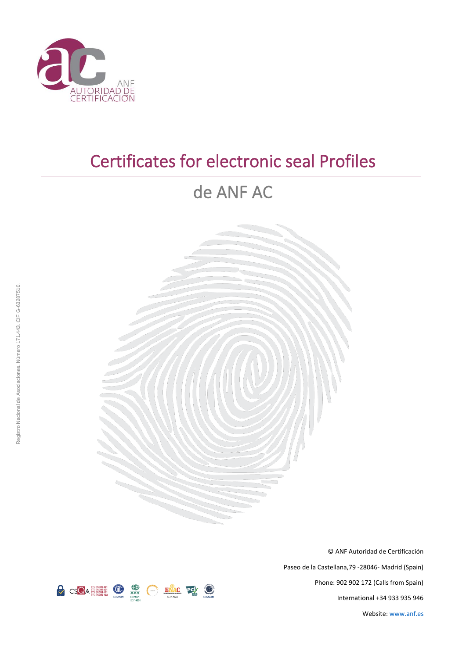

# Certificates for electronic seal Profiles

# de ANF AC



© ANF Autoridad de Certificación Paseo de la Castellana,79 -28046- Madrid (Spain) Phone: 902 902 172 (Calls from Spain) International +34 933 935 946 Website[: www.anf.es](http://www.anf.es/)

Registro Nacional de Asociaciones. Número 171.443. CIF G-63287510.

Registro Nacional de Asociaciones. Número 171.443. CIF G-63287510.

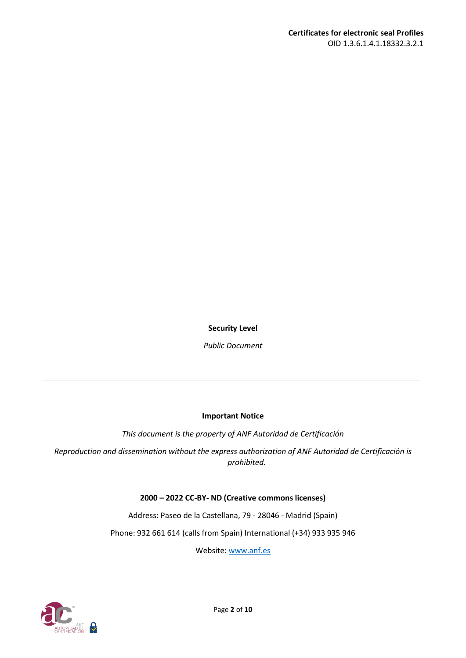**Security Level**

*Public Document*

#### **Important Notice**

*This document is the property of ANF Autoridad de Certificación*

*Reproduction and dissemination without the express authorization of ANF Autoridad de Certificación is prohibited.*

### **2000 – 2022 CC-BY- ND (Creative commons licenses)**

Address: Paseo de la Castellana, 79 - 28046 - Madrid (Spain)

Phone: 932 661 614 (calls from Spain) International (+34) 933 935 946

Website: [www.anf.es](http://www.anf.es/)

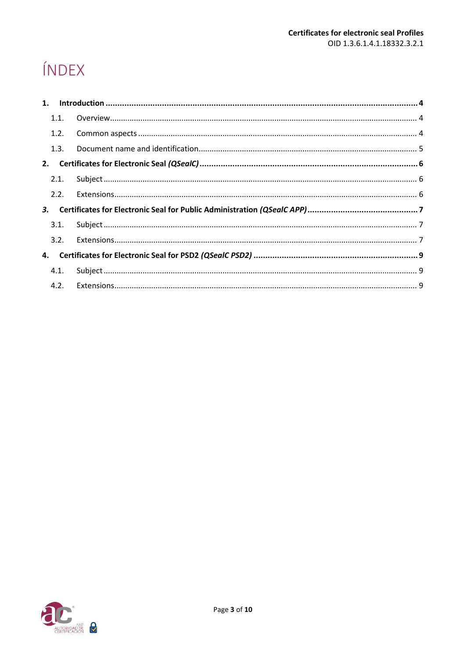# ÍNDEX

|    | 1.1. |  |
|----|------|--|
|    | 1.2. |  |
|    | 1.3. |  |
| 2. |      |  |
|    | 2.1. |  |
|    | 2.2. |  |
|    |      |  |
|    | 3.1. |  |
|    | 3.2. |  |
|    |      |  |
|    | 4.1. |  |
|    |      |  |

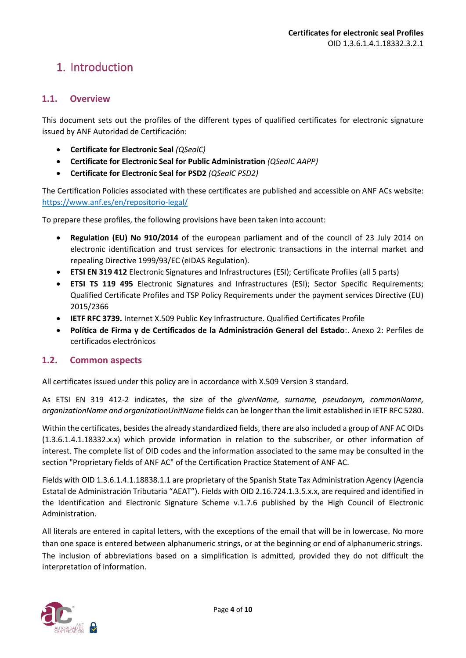## <span id="page-3-0"></span>1. Introduction

### <span id="page-3-1"></span>**1.1. Overview**

This document sets out the profiles of the different types of qualified certificates for electronic signature issued by ANF Autoridad de Certificación:

- **Certificate for Electronic Seal** *(QSealC)*
- **Certificate for Electronic Seal for Public Administration** *(QSealC AAPP)*
- **Certificate for Electronic Seal for PSD2** *(QSealC PSD2)*

The Certification Policies associated with these certificates are published and accessible on ANF ACs website: <https://www.anf.es/en/repositorio-legal/>

To prepare these profiles, the following provisions have been taken into account:

- **Regulation (EU) No 910/2014** of the european parliament and of the council of 23 July 2014 on electronic identification and trust services for electronic transactions in the internal market and repealing Directive 1999/93/EC (eIDAS Regulation).
- **ETSI EN 319 412** Electronic Signatures and Infrastructures (ESI); Certificate Profiles (all 5 parts)
- **ETSI TS 119 495** Electronic Signatures and Infrastructures (ESI); Sector Specific Requirements; Qualified Certificate Profiles and TSP Policy Requirements under the payment services Directive (EU) 2015/2366
- **IETF RFC 3739.** Internet X.509 Public Key Infrastructure. Qualified Certificates Profile
- **Política de Firma y de Certificados de la Administración General del Estado**:. Anexo 2: Perfiles de certificados electrónicos

#### <span id="page-3-2"></span>**1.2. Common aspects**

All certificates issued under this policy are in accordance with X.509 Version 3 standard.

As ETSI EN 319 412-2 indicates, the size of the *givenName, surname, pseudonym, commonName, organizationName and organizationUnitName* fields can be longer than the limit established in IETF RFC 5280.

Within the certificates, besides the already standardized fields, there are also included a group of ANF AC OIDs (1.3.6.1.4.1.18332.x.x) which provide information in relation to the subscriber, or other information of interest. The complete list of OID codes and the information associated to the same may be consulted in the section "Proprietary fields of ANF AC" of the Certification Practice Statement of ANF AC.

Fields with OID 1.3.6.1.4.1.18838.1.1 are proprietary of the Spanish State Tax Administration Agency (Agencia Estatal de Administración Tributaria "AEAT"). Fields with OID 2.16.724.1.3.5.x.x, are required and identified in the Identification and Electronic Signature Scheme v.1.7.6 published by the High Council of Electronic Administration.

All literals are entered in capital letters, with the exceptions of the email that will be in lowercase. No more than one space is entered between alphanumeric strings, or at the beginning or end of alphanumeric strings. The inclusion of abbreviations based on a simplification is admitted, provided they do not difficult the interpretation of information.

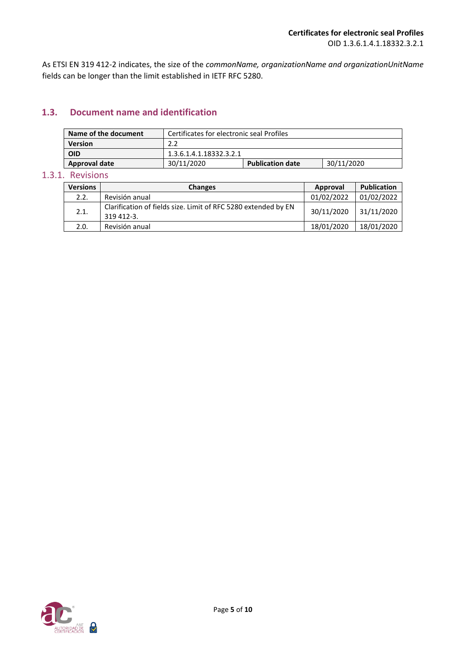As ETSI EN 319 412-2 indicates, the size of the *commonName, organizationName and organizationUnitName* fields can be longer than the limit established in IETF RFC 5280.

### <span id="page-4-0"></span>**1.3. Document name and identification**

| Name of the document | Certificates for electronic seal Profiles |                         |            |
|----------------------|-------------------------------------------|-------------------------|------------|
| Version              |                                           |                         |            |
| <b>OID</b>           | 1.3.6.1.4.1.18332.3.2.1                   |                         |            |
| <b>Approval date</b> | 30/11/2020                                | <b>Publication date</b> | 30/11/2020 |

#### 1.3.1. Revisions

| <b>Versions</b> | <b>Changes</b>                                                               | Approval   | <b>Publication</b> |
|-----------------|------------------------------------------------------------------------------|------------|--------------------|
| 2.2.            | Revisión anual                                                               | 01/02/2022 | 01/02/2022         |
| 2.1.            | Clarification of fields size. Limit of RFC 5280 extended by EN<br>319 412-3. | 30/11/2020 | 31/11/2020         |
| 2.0.            | Revisión anual                                                               | 18/01/2020 | 18/01/2020         |

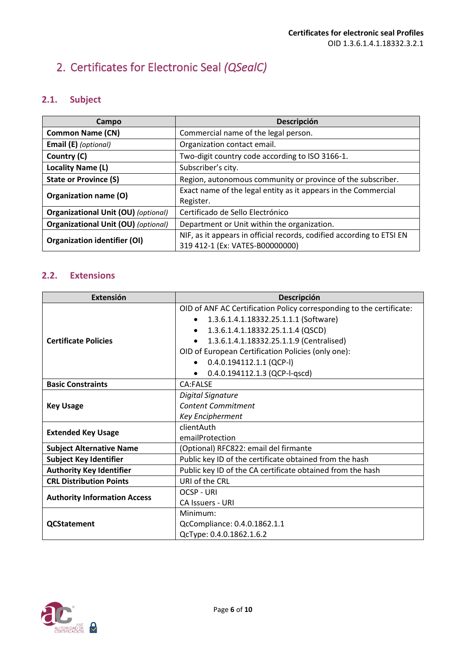# <span id="page-5-0"></span>2. Certificates for Electronic Seal *(QSealC)*

### <span id="page-5-1"></span>**2.1. Subject**

| Campo                                      | Descripción                                                           |
|--------------------------------------------|-----------------------------------------------------------------------|
| <b>Common Name (CN)</b>                    | Commercial name of the legal person.                                  |
| Email (E) (optional)                       | Organization contact email.                                           |
| Country (C)                                | Two-digit country code according to ISO 3166-1.                       |
| <b>Locality Name (L)</b>                   | Subscriber's city.                                                    |
| <b>State or Province (S)</b>               | Region, autonomous community or province of the subscriber.           |
| Organization name (O)                      | Exact name of the legal entity as it appears in the Commercial        |
|                                            | Register.                                                             |
| <b>Organizational Unit (OU)</b> (optional) | Certificado de Sello Electrónico                                      |
| <b>Organizational Unit (OU)</b> (optional) | Department or Unit within the organization.                           |
| <b>Organization identifier (OI)</b>        | NIF, as it appears in official records, codified according to ETSI EN |
|                                            | 319 412-1 (Ex: VATES-B00000000)                                       |

### <span id="page-5-2"></span>**2.2. Extensions**

| <b>Extensión</b>                    | <b>Descripción</b>                                                   |
|-------------------------------------|----------------------------------------------------------------------|
|                                     | OID of ANF AC Certification Policy corresponding to the certificate: |
|                                     | 1.3.6.1.4.1.18332.25.1.1.1 (Software)                                |
|                                     | 1.3.6.1.4.1.18332.25.1.1.4 (QSCD)                                    |
| <b>Certificate Policies</b>         | 1.3.6.1.4.1.18332.25.1.1.9 (Centralised)                             |
|                                     | OID of European Certification Policies (only one):                   |
|                                     | $0.4.0.194112.1.1$ (QCP-I)                                           |
|                                     | 0.4.0.194112.1.3 (QCP-l-qscd)                                        |
| <b>Basic Constraints</b>            | CA:FALSE                                                             |
|                                     | Digital Signature                                                    |
| <b>Key Usage</b>                    | <b>Content Commitment</b>                                            |
|                                     | <b>Key Encipherment</b>                                              |
| <b>Extended Key Usage</b>           | clientAuth                                                           |
|                                     | emailProtection                                                      |
| <b>Subject Alternative Name</b>     | (Optional) RFC822: email del firmante                                |
| <b>Subject Key Identifier</b>       | Public key ID of the certificate obtained from the hash              |
| <b>Authority Key Identifier</b>     | Public key ID of the CA certificate obtained from the hash           |
| <b>CRL Distribution Points</b>      | URI of the CRL                                                       |
| <b>Authority Information Access</b> | <b>OCSP - URI</b>                                                    |
|                                     | <b>CA Issuers - URI</b>                                              |
|                                     | Minimum:                                                             |
| <b>QCStatement</b>                  | QcCompliance: 0.4.0.1862.1.1                                         |
|                                     | QcType: 0.4.0.1862.1.6.2                                             |

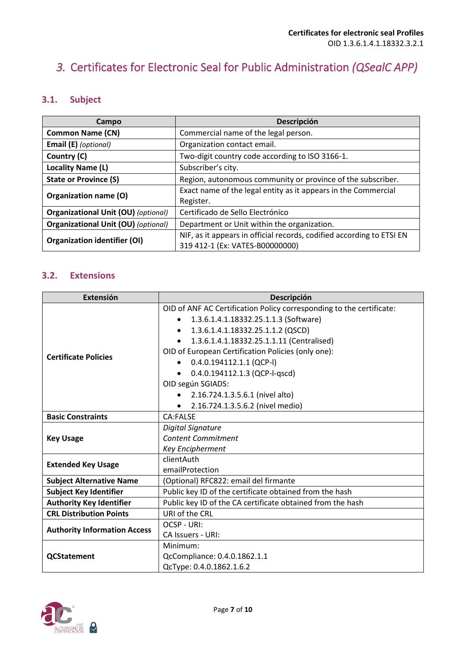# <span id="page-6-0"></span>*3.* Certificates for Electronic Seal for Public Administration *(QSealC APP)*

### <span id="page-6-1"></span>**3.1. Subject**

| Campo                                      | Descripción                                                           |
|--------------------------------------------|-----------------------------------------------------------------------|
| <b>Common Name (CN)</b>                    | Commercial name of the legal person.                                  |
| Email (E) (optional)                       | Organization contact email.                                           |
| Country (C)                                | Two-digit country code according to ISO 3166-1.                       |
| <b>Locality Name (L)</b>                   | Subscriber's city.                                                    |
| <b>State or Province (S)</b>               | Region, autonomous community or province of the subscriber.           |
| Organization name (O)                      | Exact name of the legal entity as it appears in the Commercial        |
|                                            | Register.                                                             |
| <b>Organizational Unit (OU) (optional)</b> | Certificado de Sello Electrónico                                      |
| <b>Organizational Unit (OU)</b> (optional) | Department or Unit within the organization.                           |
| <b>Organization identifier (OI)</b>        | NIF, as it appears in official records, codified according to ETSI EN |
|                                            | 319 412-1 (Ex: VATES-B00000000)                                       |

### <span id="page-6-2"></span>**3.2. Extensions**

| Extensión                           | Descripción                                                          |
|-------------------------------------|----------------------------------------------------------------------|
|                                     | OID of ANF AC Certification Policy corresponding to the certificate: |
|                                     | 1.3.6.1.4.1.18332.25.1.1.3 (Software)                                |
|                                     | 1.3.6.1.4.1.18332.25.1.1.2 (QSCD)<br>$\bullet$                       |
|                                     | 1.3.6.1.4.1.18332.25.1.1.11 (Centralised)                            |
|                                     | OID of European Certification Policies (only one):                   |
| <b>Certificate Policies</b>         | $0.4.0.194112.1.1$ (QCP-I)                                           |
|                                     | 0.4.0.194112.1.3 (QCP-l-qscd)                                        |
|                                     | OID según SGIADS:                                                    |
|                                     | 2.16.724.1.3.5.6.1 (nivel alto)                                      |
|                                     | 2.16.724.1.3.5.6.2 (nivel medio)<br>$\bullet$                        |
| <b>Basic Constraints</b>            | CA:FALSE                                                             |
|                                     | <b>Digital Signature</b>                                             |
| <b>Key Usage</b>                    | <b>Content Commitment</b>                                            |
|                                     | <b>Key Encipherment</b>                                              |
|                                     | clientAuth                                                           |
| <b>Extended Key Usage</b>           | emailProtection                                                      |
| <b>Subject Alternative Name</b>     | (Optional) RFC822: email del firmante                                |
| <b>Subject Key Identifier</b>       | Public key ID of the certificate obtained from the hash              |
| <b>Authority Key Identifier</b>     | Public key ID of the CA certificate obtained from the hash           |
| <b>CRL Distribution Points</b>      | URI of the CRL                                                       |
|                                     | OCSP - URI:                                                          |
| <b>Authority Information Access</b> | <b>CA Issuers - URI:</b>                                             |
|                                     | Minimum:                                                             |
| <b>QCStatement</b>                  | QcCompliance: 0.4.0.1862.1.1                                         |
|                                     | QcType: 0.4.0.1862.1.6.2                                             |

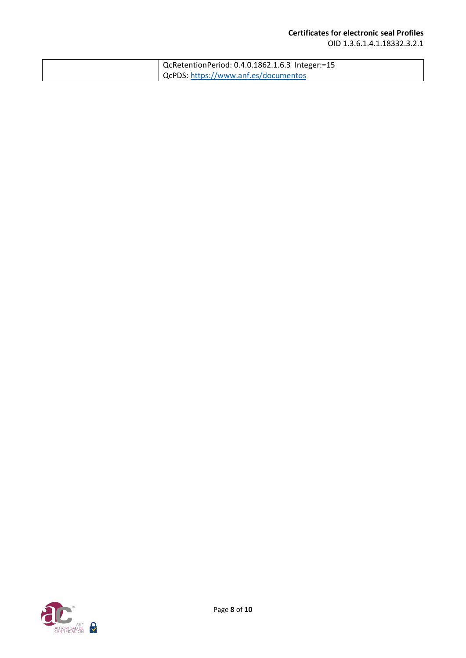| QcRetentionPeriod: 0.4.0.1862.1.6.3 Integer:=15 |
|-------------------------------------------------|
| QcPDS: https://www.anf.es/documentos            |

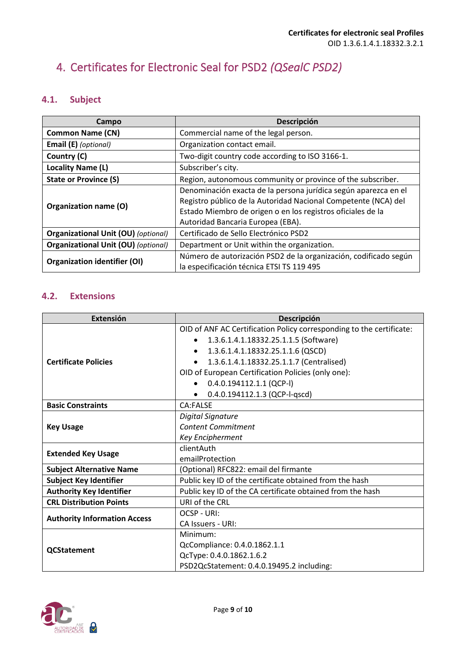# <span id="page-8-0"></span>4. Certificates for Electronic Seal for PSD2 *(QSealC PSD2)*

### <span id="page-8-1"></span>**4.1. Subject**

| Campo                                      | Descripción                                                                                                                                                                                                                           |
|--------------------------------------------|---------------------------------------------------------------------------------------------------------------------------------------------------------------------------------------------------------------------------------------|
| <b>Common Name (CN)</b>                    | Commercial name of the legal person.                                                                                                                                                                                                  |
| <b>Email (E)</b> (optional)                | Organization contact email.                                                                                                                                                                                                           |
| Country (C)                                | Two-digit country code according to ISO 3166-1.                                                                                                                                                                                       |
| Locality Name (L)                          | Subscriber's city.                                                                                                                                                                                                                    |
| <b>State or Province (S)</b>               | Region, autonomous community or province of the subscriber.                                                                                                                                                                           |
| Organization name (O)                      | Denominación exacta de la persona jurídica según aparezca en el<br>Registro público de la Autoridad Nacional Competente (NCA) del<br>Estado Miembro de origen o en los registros oficiales de la<br>Autoridad Bancaria Europea (EBA). |
| <b>Organizational Unit (OU) (optional)</b> | Certificado de Sello Electrónico PSD2                                                                                                                                                                                                 |
| <b>Organizational Unit (OU)</b> (optional) | Department or Unit within the organization.                                                                                                                                                                                           |
| <b>Organization identifier (OI)</b>        | Número de autorización PSD2 de la organización, codificado según<br>la especificación técnica ETSI TS 119 495                                                                                                                         |

### <span id="page-8-2"></span>**4.2. Extensions**

| Extensión                           | <b>Descripción</b>                                                   |
|-------------------------------------|----------------------------------------------------------------------|
|                                     | OID of ANF AC Certification Policy corresponding to the certificate: |
|                                     | 1.3.6.1.4.1.18332.25.1.1.5 (Software)<br>$\bullet$                   |
|                                     | 1.3.6.1.4.1.18332.25.1.1.6 (QSCD)<br>$\bullet$                       |
| <b>Certificate Policies</b>         | 1.3.6.1.4.1.18332.25.1.1.7 (Centralised)<br>$\bullet$                |
|                                     | OID of European Certification Policies (only one):                   |
|                                     | $0.4.0.194112.1.1$ (QCP-I)                                           |
|                                     | 0.4.0.194112.1.3 (QCP-l-qscd)<br>$\bullet$                           |
| <b>Basic Constraints</b>            | CA:FALSE                                                             |
|                                     | <b>Digital Signature</b>                                             |
| <b>Key Usage</b>                    | <b>Content Commitment</b>                                            |
|                                     | Key Encipherment                                                     |
| <b>Extended Key Usage</b>           | clientAuth                                                           |
|                                     | emailProtection                                                      |
| <b>Subject Alternative Name</b>     | (Optional) RFC822: email del firmante                                |
| <b>Subject Key Identifier</b>       | Public key ID of the certificate obtained from the hash              |
| <b>Authority Key Identifier</b>     | Public key ID of the CA certificate obtained from the hash           |
| <b>CRL Distribution Points</b>      | URI of the CRL                                                       |
|                                     | OCSP - URI:                                                          |
| <b>Authority Information Access</b> | <b>CA Issuers - URI:</b>                                             |
|                                     | Minimum:                                                             |
| <b>QCStatement</b>                  | QcCompliance: 0.4.0.1862.1.1                                         |
|                                     | QcType: 0.4.0.1862.1.6.2                                             |
|                                     | PSD2QcStatement: 0.4.0.19495.2 including:                            |